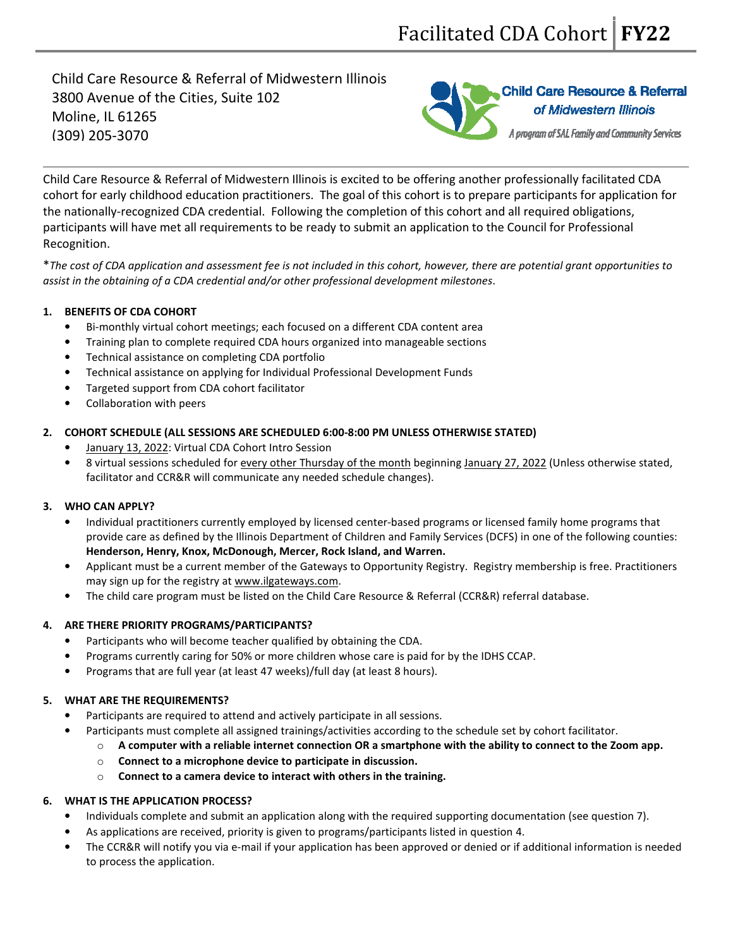Child Care Resource & Referral of Midwestern Illinois 3800 Avenue of the Cities, Suite 102 Moline, IL 61265 (309) 205-3070



Child Care Resource & Referral of Midwestern Illinois is excited to be offering another professionally facilitated CDA cohort for early childhood education practitioners. The goal of this cohort is to prepare participants for application for the nationally-recognized CDA credential. Following the completion of this cohort and all required obligations, participants will have met all requirements to be ready to submit an application to the Council for Professional Recognition.

\*The cost of CDA application and assessment fee is not included in this cohort, however, there are potential grant opportunities to assist in the obtaining of a CDA credential and/or other professional development milestones.

# 1. BENEFITS OF CDA COHORT

- Bi-monthly virtual cohort meetings; each focused on a different CDA content area
- Training plan to complete required CDA hours organized into manageable sections
- Technical assistance on completing CDA portfolio
- Technical assistance on applying for Individual Professional Development Funds
- Targeted support from CDA cohort facilitator
- Collaboration with peers

## 2. COHORT SCHEDULE (ALL SESSIONS ARE SCHEDULED 6:00-8:00 PM UNLESS OTHERWISE STATED)

- January 13, 2022: Virtual CDA Cohort Intro Session
- 8 virtual sessions scheduled for every other Thursday of the month beginning January 27, 2022 (Unless otherwise stated, facilitator and CCR&R will communicate any needed schedule changes).

# 3. WHO CAN APPLY?

- Individual practitioners currently employed by licensed center-based programs or licensed family home programs that provide care as defined by the Illinois Department of Children and Family Services (DCFS) in one of the following counties: Henderson, Henry, Knox, McDonough, Mercer, Rock Island, and Warren.
- Applicant must be a current member of the Gateways to Opportunity Registry. Registry membership is free. Practitioners may sign up for the registry at www.ilgateways.com.
- The child care program must be listed on the Child Care Resource & Referral (CCR&R) referral database.

#### 4. ARE THERE PRIORITY PROGRAMS/PARTICIPANTS?

- Participants who will become teacher qualified by obtaining the CDA.
- Programs currently caring for 50% or more children whose care is paid for by the IDHS CCAP.
- Programs that are full year (at least 47 weeks)/full day (at least 8 hours).

# 5. WHAT ARE THE REQUIREMENTS?

- Participants are required to attend and actively participate in all sessions.
	- Participants must complete all assigned trainings/activities according to the schedule set by cohort facilitator.
		- $\circ$  A computer with a reliable internet connection OR a smartphone with the ability to connect to the Zoom app.
		- o Connect to a microphone device to participate in discussion.
		- o Connect to a camera device to interact with others in the training.

# 6. WHAT IS THE APPLICATION PROCESS?

- Individuals complete and submit an application along with the required supporting documentation (see question 7).
- As applications are received, priority is given to programs/participants listed in question 4.
- The CCR&R will notify you via e-mail if your application has been approved or denied or if additional information is needed to process the application.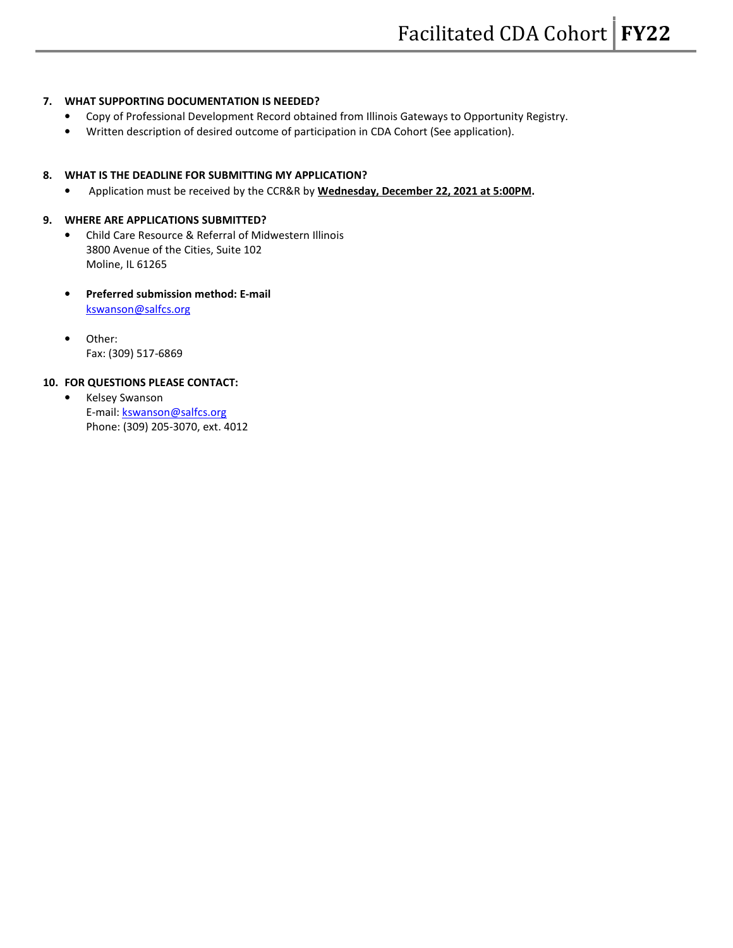#### 7. WHAT SUPPORTING DOCUMENTATION IS NEEDED?

- Copy of Professional Development Record obtained from Illinois Gateways to Opportunity Registry.
- Written description of desired outcome of participation in CDA Cohort (See application).

#### 8. WHAT IS THE DEADLINE FOR SUBMITTING MY APPLICATION?

• Application must be received by the CCR&R by Wednesday, December 22, 2021 at 5:00PM.

#### 9. WHERE ARE APPLICATIONS SUBMITTED?

- Child Care Resource & Referral of Midwestern Illinois 3800 Avenue of the Cities, Suite 102 Moline, IL 61265
- Preferred submission method: E-mail kswanson@salfcs.org
- Other: Fax: (309) 517-6869

#### 10. FOR QUESTIONS PLEASE CONTACT:

• Kelsey Swanson E-mail: kswanson@salfcs.org Phone: (309) 205-3070, ext. 4012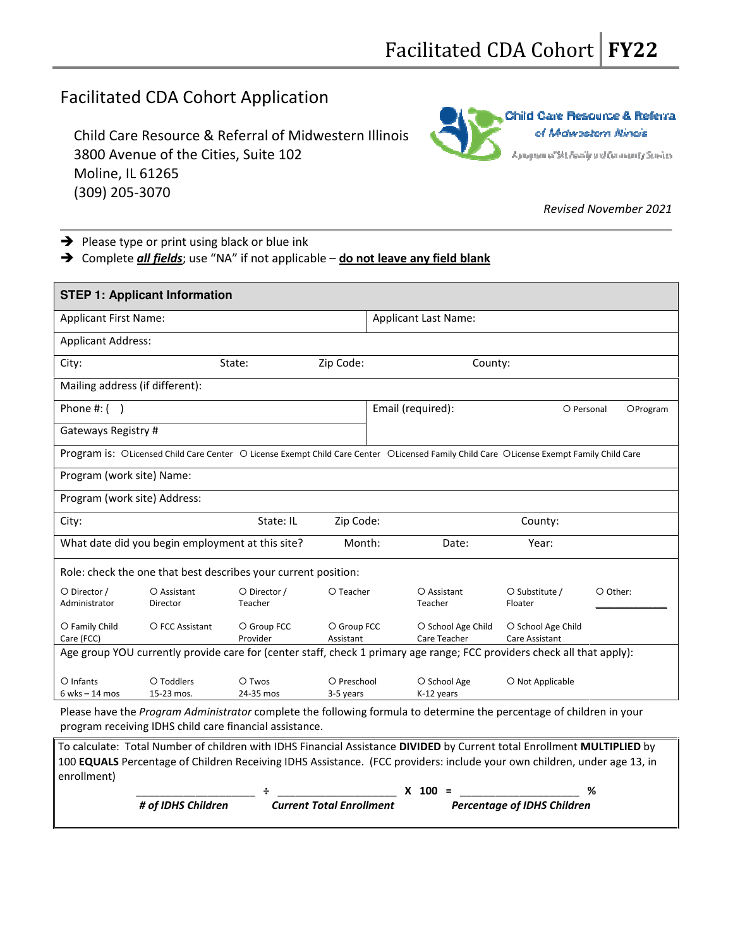# Facilitated CDA Cohort Application

Child Care Resource & Referral of Midwestern Illinois 3800 Avenue of the Cities, Suite 102 Moline, IL 61265 (309) 205-3070



### Revised November 2021

 $\rightarrow$  Please type or print using black or blue ink

→ Complete *all fields*; use "NA" if not applicable – do not leave any field blank

| <b>STEP 1: Applicant Information</b>                                                                                                     |                                                                                                                      |  |  |  |  |
|------------------------------------------------------------------------------------------------------------------------------------------|----------------------------------------------------------------------------------------------------------------------|--|--|--|--|
| <b>Applicant First Name:</b>                                                                                                             | <b>Applicant Last Name:</b>                                                                                          |  |  |  |  |
| <b>Applicant Address:</b>                                                                                                                |                                                                                                                      |  |  |  |  |
| Zip Code:<br>City:<br>State:                                                                                                             | County:                                                                                                              |  |  |  |  |
| Mailing address (if different):                                                                                                          |                                                                                                                      |  |  |  |  |
| Phone #: $( )$                                                                                                                           | Email (required):<br>O Personal<br>OProgram                                                                          |  |  |  |  |
| Gateways Registry #                                                                                                                      |                                                                                                                      |  |  |  |  |
| Program is: OLicensed Child Care Center O License Exempt Child Care Center OLicensed Family Child Care OLicense Exempt Family Child Care |                                                                                                                      |  |  |  |  |
| Program (work site) Name:                                                                                                                |                                                                                                                      |  |  |  |  |
| Program (work site) Address:                                                                                                             |                                                                                                                      |  |  |  |  |
| State: IL<br>City:                                                                                                                       | Zip Code:<br>County:                                                                                                 |  |  |  |  |
| What date did you begin employment at this site?                                                                                         | Month:<br>Date:<br>Year:                                                                                             |  |  |  |  |
| Role: check the one that best describes your current position:                                                                           |                                                                                                                      |  |  |  |  |
| O Director /<br>O Assistant<br>O Director /<br>O Teacher<br>Administrator<br>Director<br>Teacher                                         | O Assistant<br>O Substitute /<br>O Other:<br>Teacher<br>Floater                                                      |  |  |  |  |
| O Family Child<br>O FCC Assistant<br>O Group FCC<br>Care (FCC)<br>Provider<br>Assistant                                                  | O Group FCC<br>O School Age Child<br>O School Age Child<br>Care Teacher<br>Care Assistant                            |  |  |  |  |
| Age group YOU currently provide care for (center staff, check 1 primary age range; FCC providers check all that apply):                  |                                                                                                                      |  |  |  |  |
| O Infants<br>O Toddlers<br>O Twos<br>15-23 mos.<br>24-35 mos<br>$6$ wks $-14$ mos<br>3-5 years                                           | O Preschool<br>O School Age<br>O Not Applicable<br>K-12 years                                                        |  |  |  |  |
| program receiving IDHS child care financial assistance.                                                                                  | Please have the Program Administrator complete the following formula to determine the percentage of children in your |  |  |  |  |

To calculate: Total Number of children with IDHS Financial Assistance DIVIDED by Current total Enrollment MULTIPLIED by 100 EQUALS Percentage of Children Receiving IDHS Assistance. (FCC providers: include your own children, under age 13, in enrollment)

|                    |                                 | 100 | %                                  |  |
|--------------------|---------------------------------|-----|------------------------------------|--|
| # of IDHS Children | <b>Current Total Enrollment</b> |     | <b>Percentage of IDHS Children</b> |  |